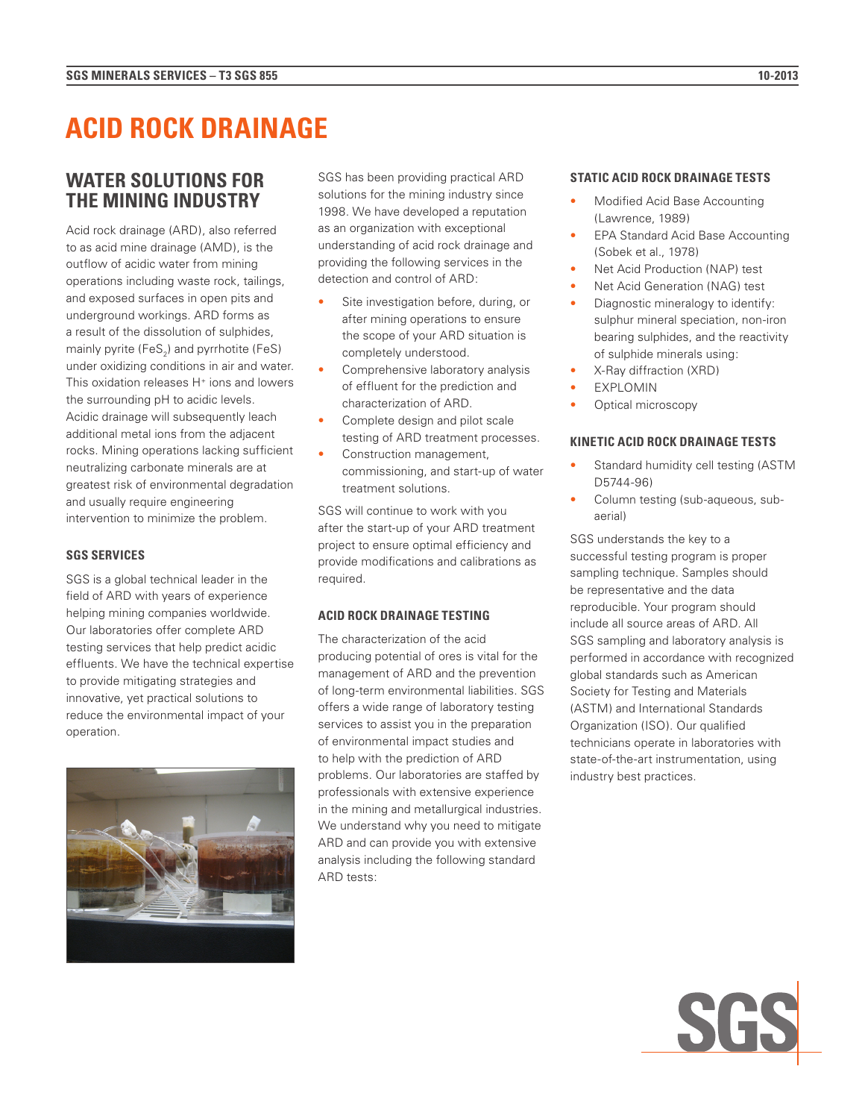# **ACID ROCK DRAINAGE**

## **WATER SOLUTIONS FOR THE MINING INDUSTRY**

Acid rock drainage (ARD), also referred to as acid mine drainage (AMD), is the outflow of acidic water from mining operations including waste rock, tailings, and exposed surfaces in open pits and underground workings. ARD forms as a result of the dissolution of sulphides, mainly pyrite (FeS<sub>2</sub>) and pyrrhotite (FeS) under oxidizing conditions in air and water. This oxidation releases  $H^+$  ions and lowers the surrounding pH to acidic levels. Acidic drainage will subsequently leach additional metal ions from the adjacent rocks. Mining operations lacking sufficient neutralizing carbonate minerals are at greatest risk of environmental degradation and usually require engineering intervention to minimize the problem.

#### **SGS SERVICES**

SGS is a global technical leader in the field of ARD with years of experience helping mining companies worldwide. Our laboratories offer complete ARD testing services that help predict acidic effluents. We have the technical expertise to provide mitigating strategies and innovative, yet practical solutions to reduce the environmental impact of your operation.



SGS has been providing practical ARD solutions for the mining industry since 1998. We have developed a reputation as an organization with exceptional understanding of acid rock drainage and providing the following services in the detection and control of ARD:

- Site investigation before, during, or after mining operations to ensure the scope of your ARD situation is completely understood.
- Comprehensive laboratory analysis of effluent for the prediction and characterization of ARD.
- Complete design and pilot scale testing of ARD treatment processes.
- Construction management, commissioning, and start-up of water treatment solutions.

SGS will continue to work with you after the start-up of your ARD treatment project to ensure optimal efficiency and provide modifications and calibrations as required.

#### **ACID ROCK DRAINAGE TESTING**

The characterization of the acid producing potential of ores is vital for the management of ARD and the prevention of long-term environmental liabilities. SGS offers a wide range of laboratory testing services to assist you in the preparation of environmental impact studies and to help with the prediction of ARD problems. Our laboratories are staffed by professionals with extensive experience in the mining and metallurgical industries. We understand why you need to mitigate ARD and can provide you with extensive analysis including the following standard ARD tests:

#### **STATIC ACID ROCK DRAINAGE TESTS**

- Modified Acid Base Accounting (Lawrence, 1989)
- EPA Standard Acid Base Accounting (Sobek et al., 1978)
- Net Acid Production (NAP) test
- Net Acid Generation (NAG) test
- Diagnostic mineralogy to identify: sulphur mineral speciation, non-iron bearing sulphides, and the reactivity of sulphide minerals using:
- X-Ray diffraction (XRD)
- **EXPLOMIN**
- Optical microscopy

#### **KINETIC ACID ROCK DRAINAGE TESTS**

- Standard humidity cell testing (ASTM D5744-96)
- Column testing (sub-aqueous, subaerial)

SGS understands the key to a successful testing program is proper sampling technique. Samples should be representative and the data reproducible. Your program should include all source areas of ARD. All SGS sampling and laboratory analysis is performed in accordance with recognized global standards such as American Society for Testing and Materials (ASTM) and International Standards Organization (ISO). Our qualified technicians operate in laboratories with state-of-the-art instrumentation, using industry best practices.